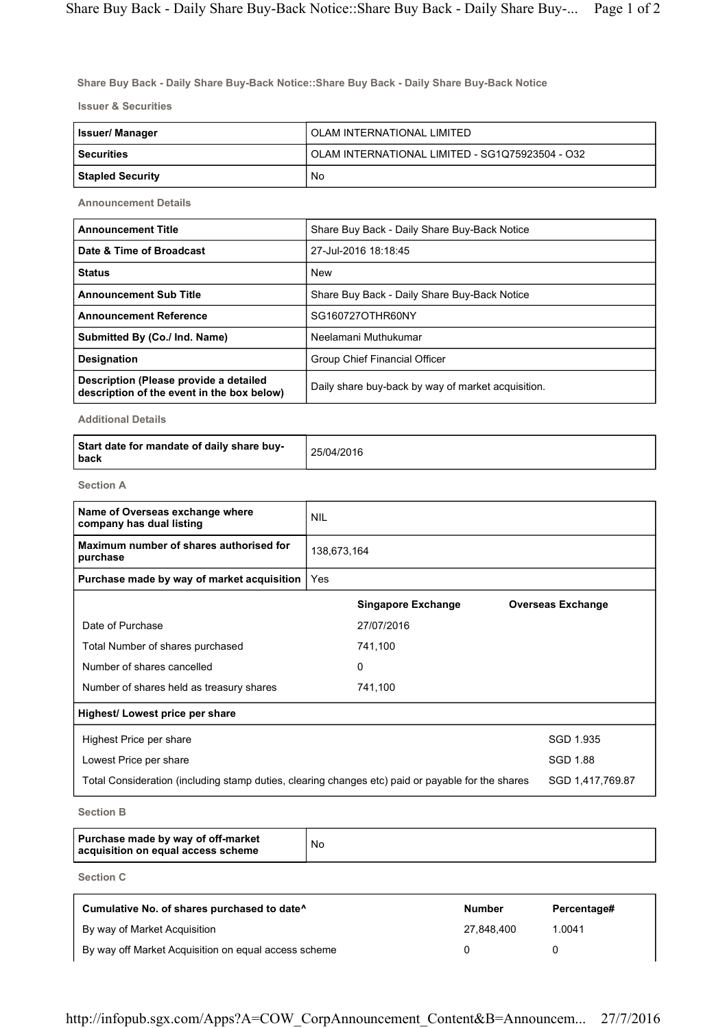Share Buy Back - Daily Share Buy-Back Notice::Share Buy Back - Daily Share Buy-Back Notice

Issuer & Securities

| Issuer/ Manager         | OLAM INTERNATIONAL LIMITED                      |
|-------------------------|-------------------------------------------------|
| <b>Securities</b>       | OLAM INTERNATIONAL LIMITED - SG1Q75923504 - O32 |
| <b>Stapled Security</b> | No                                              |

Announcement Details

| <b>Announcement Title</b>                                                            | Share Buy Back - Daily Share Buy-Back Notice       |
|--------------------------------------------------------------------------------------|----------------------------------------------------|
| Date & Time of Broadcast                                                             | 27-Jul-2016 18:18:45                               |
| <b>Status</b>                                                                        | <b>New</b>                                         |
| <b>Announcement Sub Title</b>                                                        | Share Buy Back - Daily Share Buy-Back Notice       |
| <b>Announcement Reference</b>                                                        | SG160727OTHR60NY                                   |
| Submitted By (Co./ Ind. Name)                                                        | Neelamani Muthukumar                               |
| <b>Designation</b>                                                                   | Group Chief Financial Officer                      |
| Description (Please provide a detailed<br>description of the event in the box below) | Daily share buy-back by way of market acquisition. |

Additional Details

| Start date for mandate of daily share buy-<br>l back | 25/04/2016 |
|------------------------------------------------------|------------|
|------------------------------------------------------|------------|

Section A

| <b>NIL</b>  |                                            |                                                                                                   |
|-------------|--------------------------------------------|---------------------------------------------------------------------------------------------------|
| 138,673,164 |                                            |                                                                                                   |
| Yes         |                                            |                                                                                                   |
|             | <b>Singapore Exchange</b>                  | <b>Overseas Exchange</b>                                                                          |
|             | 27/07/2016                                 |                                                                                                   |
|             | 741,100                                    |                                                                                                   |
|             | 0                                          |                                                                                                   |
|             | 741,100                                    |                                                                                                   |
|             |                                            |                                                                                                   |
|             |                                            | SGD 1.935                                                                                         |
|             |                                            | <b>SGD 1.88</b>                                                                                   |
|             |                                            | SGD 1,417,769.87                                                                                  |
|             | Purchase made by way of market acquisition | Total Consideration (including stamp duties, clearing changes etc) paid or payable for the shares |

Section B

| Purchase made by way of off-market<br>acquisition on equal access scheme | No |
|--------------------------------------------------------------------------|----|
|--------------------------------------------------------------------------|----|

Section C

| Cumulative No. of shares purchased to date <sup>^</sup> | <b>Number</b> | Percentage# |
|---------------------------------------------------------|---------------|-------------|
| By way of Market Acquisition                            | 27.848.400    | 1.0041      |
| By way off Market Acquisition on equal access scheme    |               |             |